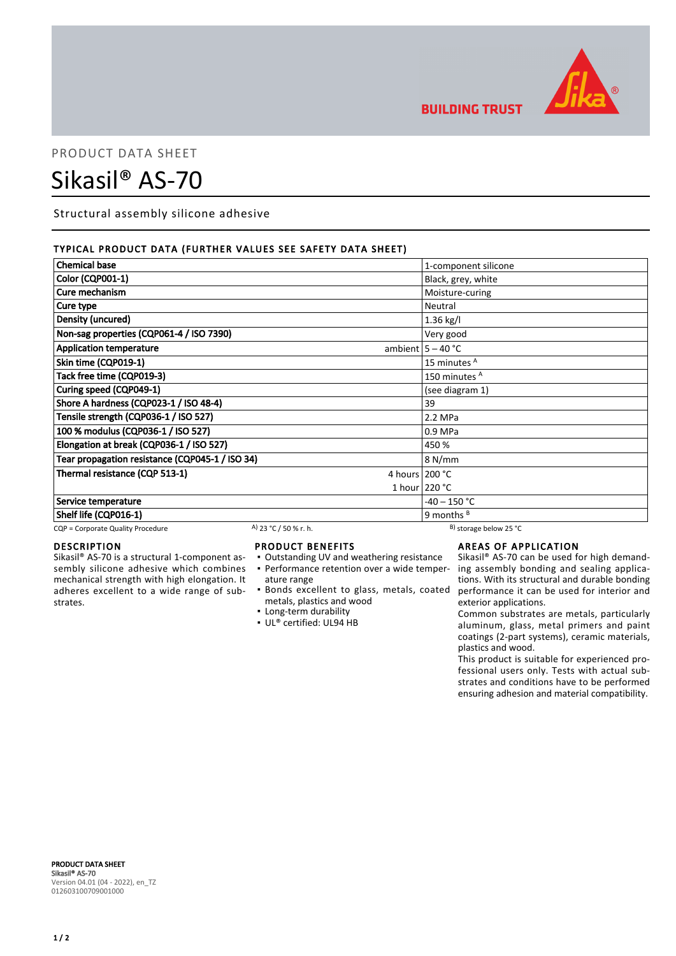

**BUILDING TRUST** 

## PRODUCT DATA SHEET

# Sikasil® AS-70

Structural assembly silicone adhesive

### TYPICAL PRODUCT DATA (FURTHER VALUES SEE SAFETY DATA SHEET)

| <b>Chemical base</b>                            |                       | 1-component silicone         |
|-------------------------------------------------|-----------------------|------------------------------|
| Color (CQP001-1)                                |                       | Black, grey, white           |
| Cure mechanism                                  |                       | Moisture-curing              |
| Cure type                                       |                       | Neutral                      |
| Density (uncured)                               |                       | 1.36 kg/l                    |
| Non-sag properties (CQP061-4 / ISO 7390)        |                       | Very good                    |
| <b>Application temperature</b>                  |                       | ambient $5 - 40$ °C          |
| Skin time (CQP019-1)                            |                       | 15 minutes <sup>A</sup>      |
| Tack free time (CQP019-3)                       |                       | 150 minutes <sup>A</sup>     |
| Curing speed (CQP049-1)                         |                       | (see diagram 1)              |
| Shore A hardness (CQP023-1 / ISO 48-4)          |                       | 39                           |
| Tensile strength (CQP036-1 / ISO 527)           |                       | 2.2 MPa                      |
| 100 % modulus (CQP036-1 / ISO 527)              |                       | 0.9 MPa                      |
| Elongation at break (CQP036-1 / ISO 527)        |                       | 450 %                        |
| Tear propagation resistance (CQP045-1 / ISO 34) |                       | 8 N/mm                       |
| Thermal resistance (CQP 513-1)                  |                       | 4 hours $200 °C$             |
|                                                 |                       | 1 hour $220 °C$              |
| Service temperature                             |                       | $-40 - 150 °C$               |
| Shelf life (CQP016-1)                           |                       | 9 months $B$                 |
| CQP = Corporate Quality Procedure               | A) 23 °C / 50 % r. h. | $^{B}$ ) storage below 25 °C |

### DESCRIPTION

Sikasil® AS-70 is a structural 1-component assembly silicone adhesive which combines mechanical strength with high elongation. It adheres excellent to a wide range of substrates.

#### PRODUCT BENEFITS

- Outstanding UV and weathering resistance
- ature range
- metals, plastics and wood
- **Example 1** Long-term durability
- UL® certified: UL94 HB

### AREAS OF APPLICATION

• Performance retention over a wide temper- ing assembly bonding and sealing applica-Bonds excellent to glass, metals, coated ▪ performance it can be used for interior and Sikasil® AS-70 can be used for high demandtions. With its structural and durable bonding exterior applications.

> Common substrates are metals, particularly aluminum, glass, metal primers and paint coatings (2-part systems), ceramic materials, plastics and wood.

> This product is suitable for experienced professional users only. Tests with actual substrates and conditions have to be performed ensuring adhesion and material compatibility.

PRODUCT DATA SHEET Sikasil® AS-70 Version 04.01 (04 - 2022), en\_TZ 012603100709001000